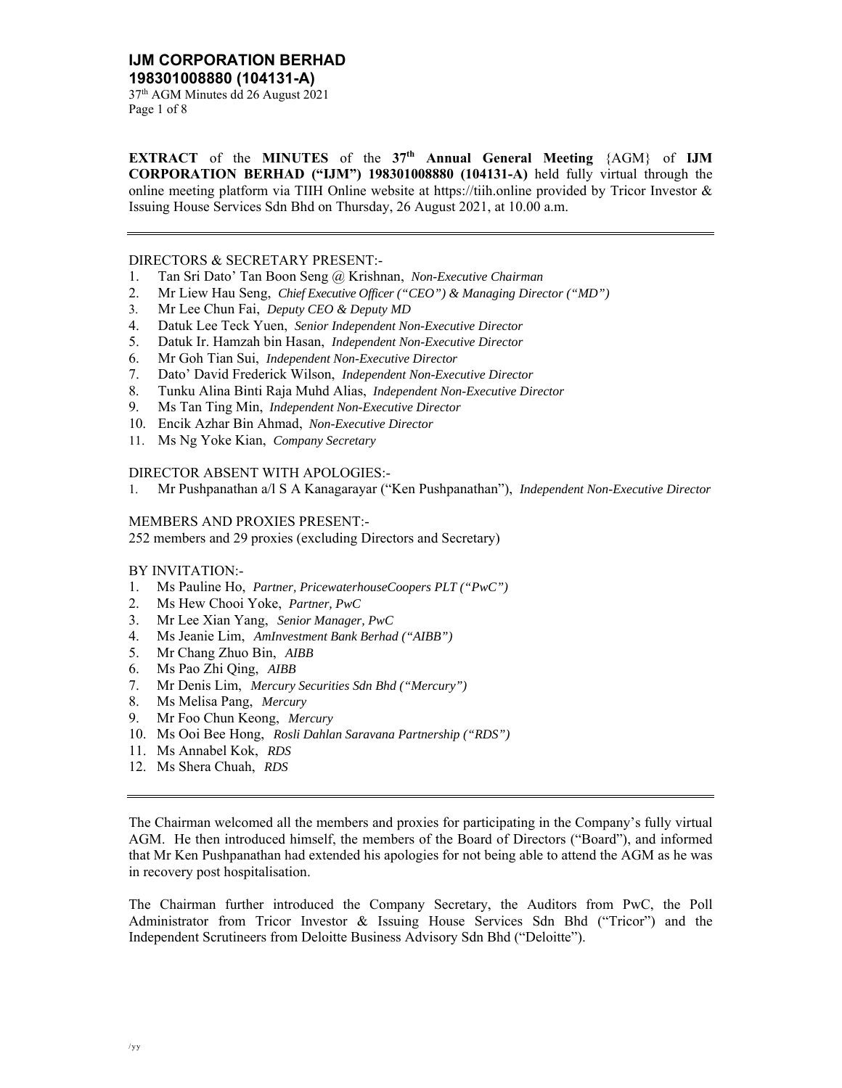37th AGM Minutes dd 26 August 2021 Page 1 of 8

**EXTRACT** of the **MINUTES** of the **37th Annual General Meeting** {AGM} of **IJM CORPORATION BERHAD ("IJM") 198301008880 (104131-A)** held fully virtual through the online meeting platform via TIIH Online website at https://tiih.online provided by Tricor Investor  $\&$ Issuing House Services Sdn Bhd on Thursday, 26 August 2021, at 10.00 a.m.

### DIRECTORS & SECRETARY PRESENT:-

- 1. Tan Sri Dato' Tan Boon Seng @ Krishnan, *Non-Executive Chairman*
- 2. Mr Liew Hau Seng, *Chief Executive Officer ("CEO") & Managing Director ("MD")*
- 3. Mr Lee Chun Fai, *Deputy CEO & Deputy MD*
- 4. Datuk Lee Teck Yuen, *Senior Independent Non-Executive Director*
- 5. Datuk Ir. Hamzah bin Hasan, *Independent Non-Executive Director*
- 6. Mr Goh Tian Sui, *Independent Non-Executive Director*
- 7. Dato' David Frederick Wilson, *Independent Non-Executive Director*
- 8. Tunku Alina Binti Raja Muhd Alias, *Independent Non-Executive Director*
- 9. Ms Tan Ting Min, *Independent Non-Executive Director*
- 10. Encik Azhar Bin Ahmad, *Non-Executive Director*
- 11. Ms Ng Yoke Kian, *Company Secretary*

### DIRECTOR ABSENT WITH APOLOGIES:-

1. Mr Pushpanathan a/l S A Kanagarayar ("Ken Pushpanathan"), *Independent Non-Executive Director* 

### MEMBERS AND PROXIES PRESENT:-

252 members and 29 proxies (excluding Directors and Secretary)

## BY INVITATION:-

- 1. Ms Pauline Ho, *Partner, PricewaterhouseCoopers PLT ("PwC")*
- 2. Ms Hew Chooi Yoke, *Partner, PwC*
- 3. Mr Lee Xian Yang, *Senior Manager, PwC*
- 4. Ms Jeanie Lim, *AmInvestment Bank Berhad ("AIBB")*
- 5. Mr Chang Zhuo Bin, *AIBB*
- 6. Ms Pao Zhi Qing, *AIBB*
- 7. Mr Denis Lim, *Mercury Securities Sdn Bhd ("Mercury")*
- 8. Ms Melisa Pang, *Mercury*
- 9. Mr Foo Chun Keong, *Mercury*
- 10. Ms Ooi Bee Hong, *Rosli Dahlan Saravana Partnership ("RDS")*
- 11. Ms Annabel Kok, *RDS*
- 12. Ms Shera Chuah, *RDS*

The Chairman welcomed all the members and proxies for participating in the Company's fully virtual AGM. He then introduced himself, the members of the Board of Directors ("Board"), and informed that Mr Ken Pushpanathan had extended his apologies for not being able to attend the AGM as he was in recovery post hospitalisation.

The Chairman further introduced the Company Secretary, the Auditors from PwC, the Poll Administrator from Tricor Investor & Issuing House Services Sdn Bhd ("Tricor") and the Independent Scrutineers from Deloitte Business Advisory Sdn Bhd ("Deloitte").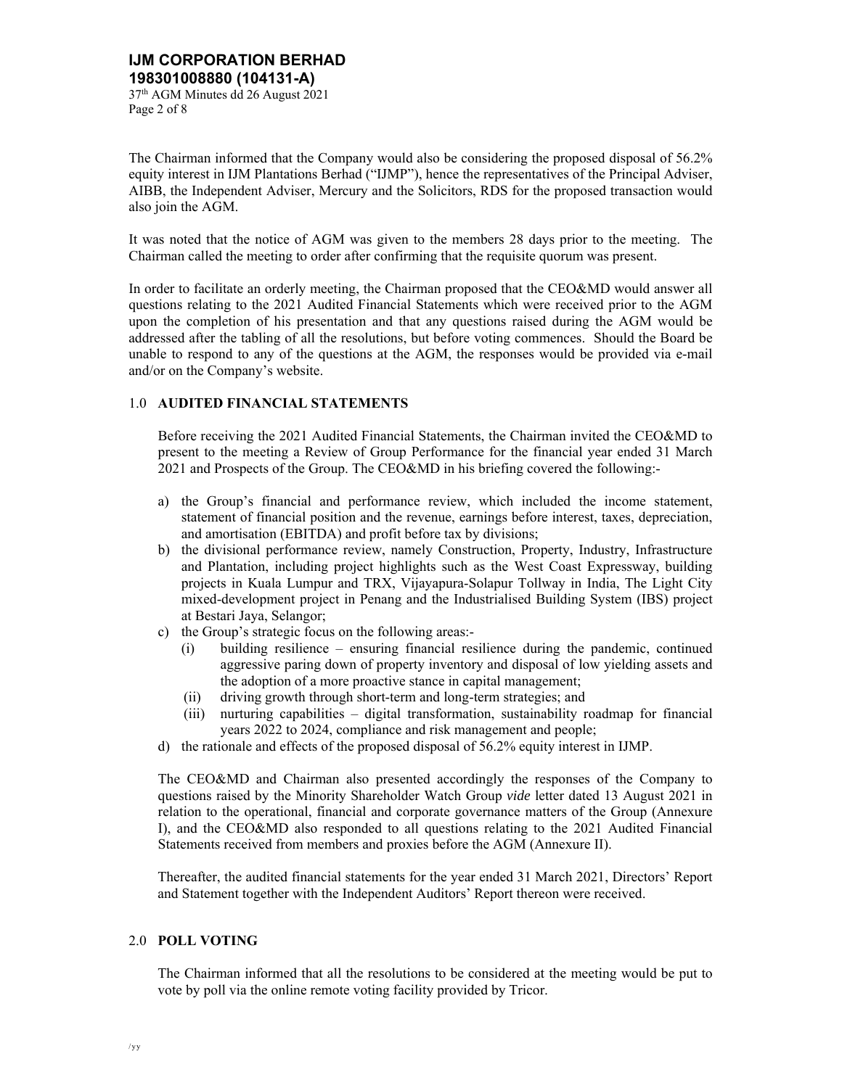The Chairman informed that the Company would also be considering the proposed disposal of 56.2% equity interest in IJM Plantations Berhad ("IJMP"), hence the representatives of the Principal Adviser, AIBB, the Independent Adviser, Mercury and the Solicitors, RDS for the proposed transaction would also join the AGM.

It was noted that the notice of AGM was given to the members 28 days prior to the meeting. The Chairman called the meeting to order after confirming that the requisite quorum was present.

In order to facilitate an orderly meeting, the Chairman proposed that the CEO&MD would answer all questions relating to the 2021 Audited Financial Statements which were received prior to the AGM upon the completion of his presentation and that any questions raised during the AGM would be addressed after the tabling of all the resolutions, but before voting commences. Should the Board be unable to respond to any of the questions at the AGM, the responses would be provided via e-mail and/or on the Company's website.

# 1.0 **AUDITED FINANCIAL STATEMENTS**

Before receiving the 2021 Audited Financial Statements, the Chairman invited the CEO&MD to present to the meeting a Review of Group Performance for the financial year ended 31 March 2021 and Prospects of the Group. The CEO&MD in his briefing covered the following:-

- a) the Group's financial and performance review, which included the income statement, statement of financial position and the revenue, earnings before interest, taxes, depreciation, and amortisation (EBITDA) and profit before tax by divisions;
- b) the divisional performance review, namely Construction, Property, Industry, Infrastructure and Plantation, including project highlights such as the West Coast Expressway, building projects in Kuala Lumpur and TRX, Vijayapura-Solapur Tollway in India, The Light City mixed-development project in Penang and the Industrialised Building System (IBS) project at Bestari Jaya, Selangor;
- c) the Group's strategic focus on the following areas:-
	- (i) building resilience ensuring financial resilience during the pandemic, continued aggressive paring down of property inventory and disposal of low yielding assets and the adoption of a more proactive stance in capital management;
	- (ii) driving growth through short-term and long-term strategies; and
	- (iii) nurturing capabilities digital transformation, sustainability roadmap for financial years 2022 to 2024, compliance and risk management and people;
- d) the rationale and effects of the proposed disposal of 56.2% equity interest in IJMP.

The CEO&MD and Chairman also presented accordingly the responses of the Company to questions raised by the Minority Shareholder Watch Group *vide* letter dated 13 August 2021 in relation to the operational, financial and corporate governance matters of the Group (Annexure I), and the CEO&MD also responded to all questions relating to the 2021 Audited Financial Statements received from members and proxies before the AGM (Annexure II).

Thereafter, the audited financial statements for the year ended 31 March 2021, Directors' Report and Statement together with the Independent Auditors' Report thereon were received.

## 2.0 **POLL VOTING**

The Chairman informed that all the resolutions to be considered at the meeting would be put to vote by poll via the online remote voting facility provided by Tricor.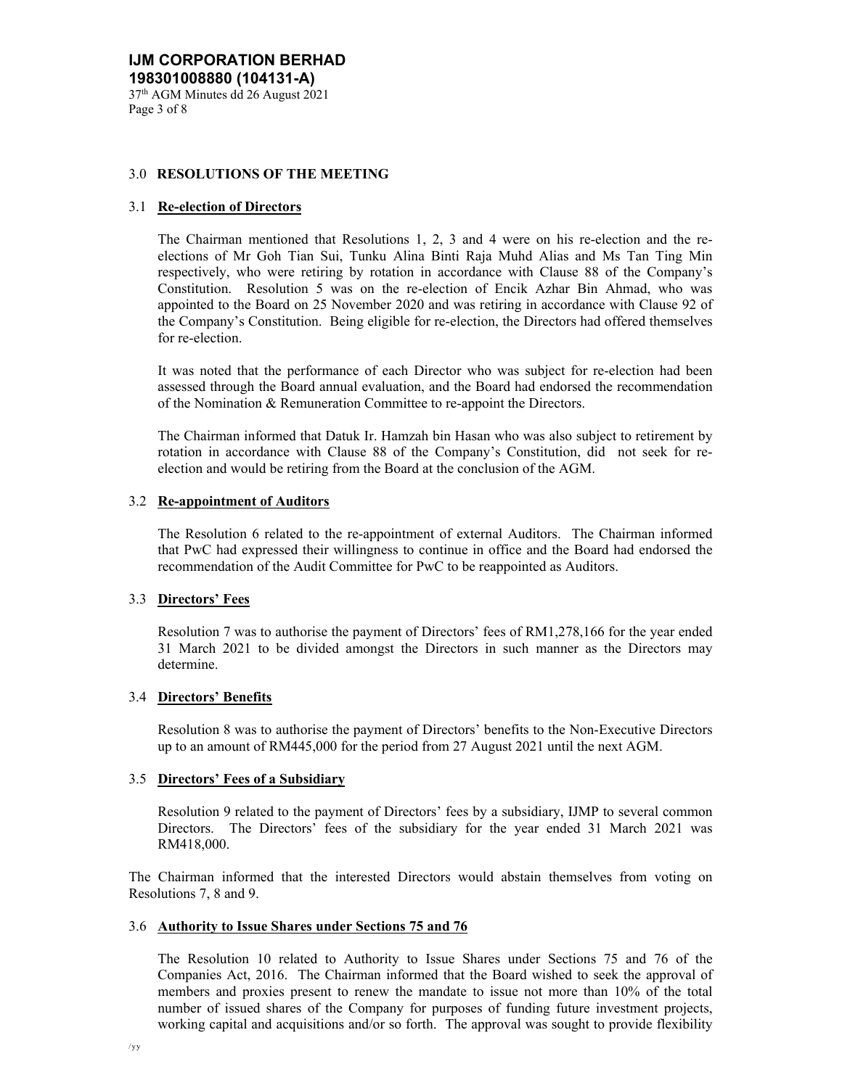## 3.0 **RESOLUTIONS OF THE MEETING**

### 3.1 **Re-election of Directors**

The Chairman mentioned that Resolutions 1, 2, 3 and 4 were on his re-election and the reelections of Mr Goh Tian Sui, Tunku Alina Binti Raja Muhd Alias and Ms Tan Ting Min respectively, who were retiring by rotation in accordance with Clause 88 of the Company's Constitution. Resolution 5 was on the re-election of Encik Azhar Bin Ahmad, who was appointed to the Board on 25 November 2020 and was retiring in accordance with Clause 92 of the Company's Constitution. Being eligible for re-election, the Directors had offered themselves for re-election.

It was noted that the performance of each Director who was subject for re-election had been assessed through the Board annual evaluation, and the Board had endorsed the recommendation of the Nomination & Remuneration Committee to re-appoint the Directors.

The Chairman informed that Datuk Ir. Hamzah bin Hasan who was also subject to retirement by rotation in accordance with Clause 88 of the Company's Constitution, did not seek for reelection and would be retiring from the Board at the conclusion of the AGM.

# 3.2 **Re-appointment of Auditors**

 The Resolution 6 related to the re-appointment of external Auditors. The Chairman informed that PwC had expressed their willingness to continue in office and the Board had endorsed the recommendation of the Audit Committee for PwC to be reappointed as Auditors.

### 3.3 **Directors' Fees**

Resolution 7 was to authorise the payment of Directors' fees of RM1,278,166 for the year ended 31 March 2021 to be divided amongst the Directors in such manner as the Directors may determine.

## 3.4 **Directors' Benefits**

Resolution 8 was to authorise the payment of Directors' benefits to the Non-Executive Directors up to an amount of RM445,000 for the period from 27 August 2021 until the next AGM.

## 3.5 **Directors' Fees of a Subsidiary**

Resolution 9 related to the payment of Directors' fees by a subsidiary, IJMP to several common Directors. The Directors' fees of the subsidiary for the year ended 31 March 2021 was RM418,000.

The Chairman informed that the interested Directors would abstain themselves from voting on Resolutions 7, 8 and 9.

### 3.6 **Authority to Issue Shares under Sections 75 and 76**

The Resolution 10 related to Authority to Issue Shares under Sections 75 and 76 of the Companies Act, 2016. The Chairman informed that the Board wished to seek the approval of members and proxies present to renew the mandate to issue not more than 10% of the total number of issued shares of the Company for purposes of funding future investment projects, working capital and acquisitions and/or so forth. The approval was sought to provide flexibility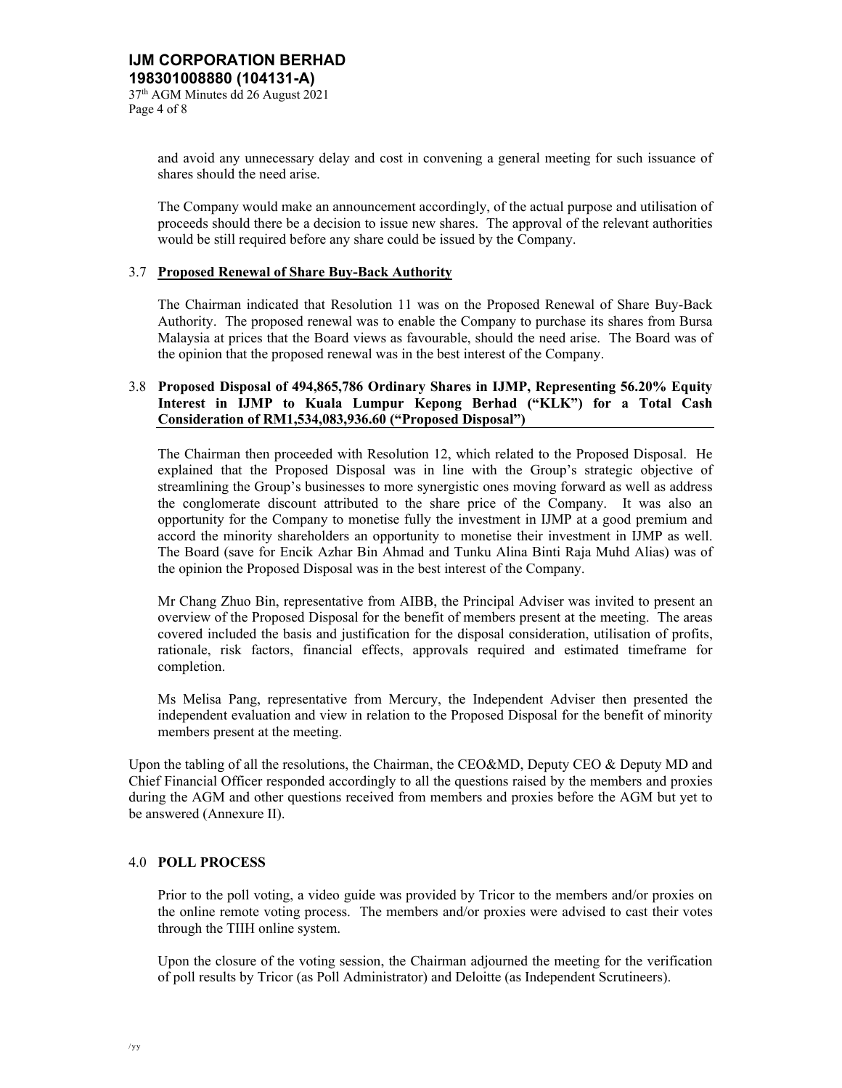Page 4 of 8

and avoid any unnecessary delay and cost in convening a general meeting for such issuance of shares should the need arise.

The Company would make an announcement accordingly, of the actual purpose and utilisation of proceeds should there be a decision to issue new shares. The approval of the relevant authorities would be still required before any share could be issued by the Company.

## 3.7 **Proposed Renewal of Share Buy-Back Authority**

The Chairman indicated that Resolution 11 was on the Proposed Renewal of Share Buy-Back Authority. The proposed renewal was to enable the Company to purchase its shares from Bursa Malaysia at prices that the Board views as favourable, should the need arise. The Board was of the opinion that the proposed renewal was in the best interest of the Company.

## 3.8 **Proposed Disposal of 494,865,786 Ordinary Shares in IJMP, Representing 56.20% Equity Interest in IJMP to Kuala Lumpur Kepong Berhad ("KLK") for a Total Cash Consideration of RM1,534,083,936.60 ("Proposed Disposal")**

The Chairman then proceeded with Resolution 12, which related to the Proposed Disposal. He explained that the Proposed Disposal was in line with the Group's strategic objective of streamlining the Group's businesses to more synergistic ones moving forward as well as address the conglomerate discount attributed to the share price of the Company. It was also an opportunity for the Company to monetise fully the investment in IJMP at a good premium and accord the minority shareholders an opportunity to monetise their investment in IJMP as well. The Board (save for Encik Azhar Bin Ahmad and Tunku Alina Binti Raja Muhd Alias) was of the opinion the Proposed Disposal was in the best interest of the Company.

Mr Chang Zhuo Bin, representative from AIBB, the Principal Adviser was invited to present an overview of the Proposed Disposal for the benefit of members present at the meeting. The areas covered included the basis and justification for the disposal consideration, utilisation of profits, rationale, risk factors, financial effects, approvals required and estimated timeframe for completion.

Ms Melisa Pang, representative from Mercury, the Independent Adviser then presented the independent evaluation and view in relation to the Proposed Disposal for the benefit of minority members present at the meeting.

Upon the tabling of all the resolutions, the Chairman, the CEO&MD, Deputy CEO & Deputy MD and Chief Financial Officer responded accordingly to all the questions raised by the members and proxies during the AGM and other questions received from members and proxies before the AGM but yet to be answered (Annexure II).

## 4.0 **POLL PROCESS**

Prior to the poll voting, a video guide was provided by Tricor to the members and/or proxies on the online remote voting process. The members and/or proxies were advised to cast their votes through the TIIH online system.

Upon the closure of the voting session, the Chairman adjourned the meeting for the verification of poll results by Tricor (as Poll Administrator) and Deloitte (as Independent Scrutineers).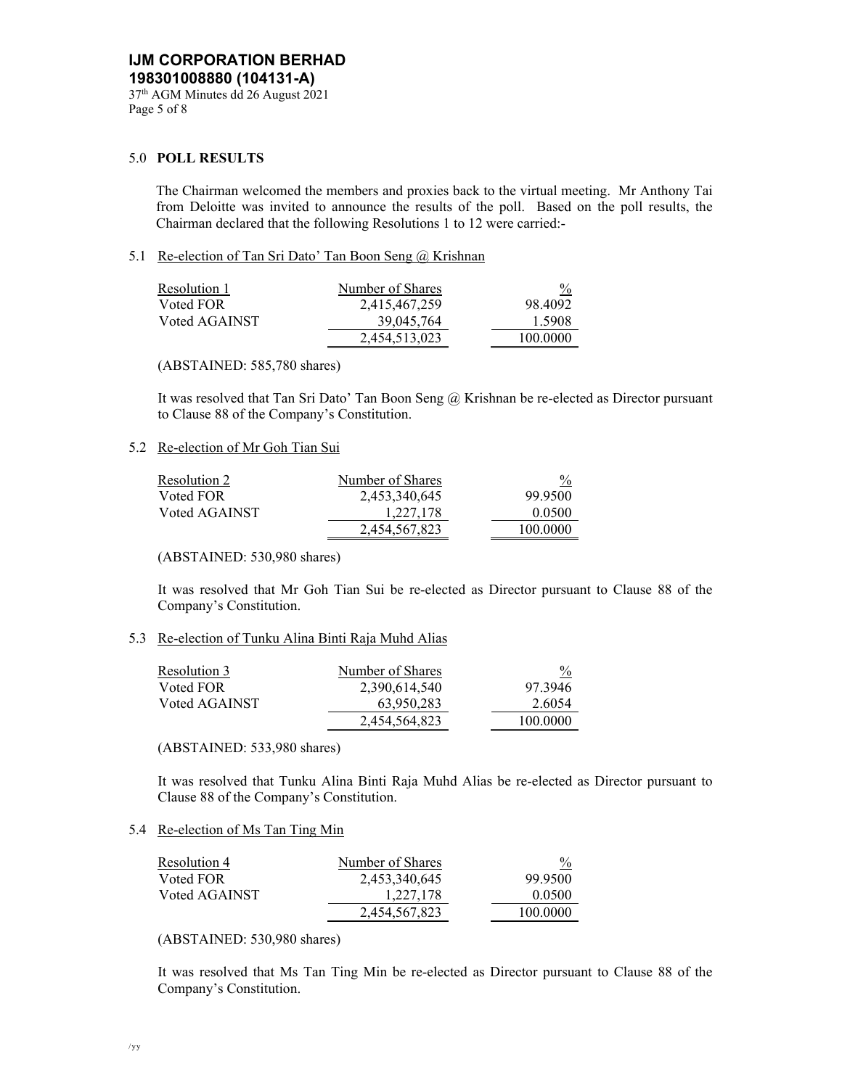### 5.0 **POLL RESULTS**

 The Chairman welcomed the members and proxies back to the virtual meeting. Mr Anthony Tai from Deloitte was invited to announce the results of the poll. Based on the poll results, the Chairman declared that the following Resolutions 1 to 12 were carried:-

### 5.1 Re-election of Tan Sri Dato' Tan Boon Seng @ Krishnan

| Resolution 1  | Number of Shares | $\frac{0}{0}$ |
|---------------|------------------|---------------|
| Voted FOR     | 2,415,467,259    | 98.4092       |
| Voted AGAINST | 39,045,764       | 1.5908        |
|               | 2,454,513,023    | 100.0000      |
|               |                  |               |

(ABSTAINED: 585,780 shares)

 It was resolved that Tan Sri Dato' Tan Boon Seng @ Krishnan be re-elected as Director pursuant to Clause 88 of the Company's Constitution.

### 5.2 Re-election of Mr Goh Tian Sui

| Resolution 2  | Number of Shares | $\frac{0}{0}$ |
|---------------|------------------|---------------|
| Voted FOR     | 2,453,340,645    | 99.9500       |
| Voted AGAINST | 1,227,178        | 0.0500        |
|               | 2.454.567.823    | 100.0000      |

(ABSTAINED: 530,980 shares)

 It was resolved that Mr Goh Tian Sui be re-elected as Director pursuant to Clause 88 of the Company's Constitution.

### 5.3 Re-election of Tunku Alina Binti Raja Muhd Alias

| Resolution 3  | Number of Shares | $\frac{0}{0}$ |
|---------------|------------------|---------------|
| Voted FOR     | 2,390,614,540    | 97.3946       |
| Voted AGAINST | 63,950,283       | 2.6054        |
|               | 2,454,564,823    | 100.0000      |

(ABSTAINED: 533,980 shares)

 It was resolved that Tunku Alina Binti Raja Muhd Alias be re-elected as Director pursuant to Clause 88 of the Company's Constitution.

## 5.4 Re-election of Ms Tan Ting Min

| Resolution 4  | Number of Shares | $\frac{0}{0}$ |
|---------------|------------------|---------------|
| Voted FOR     | 2,453,340,645    | 99.9500       |
| Voted AGAINST | 1.227.178        | 0.0500        |
|               | 2.454.567.823    | 100.0000      |

(ABSTAINED: 530,980 shares)

 It was resolved that Ms Tan Ting Min be re-elected as Director pursuant to Clause 88 of the Company's Constitution.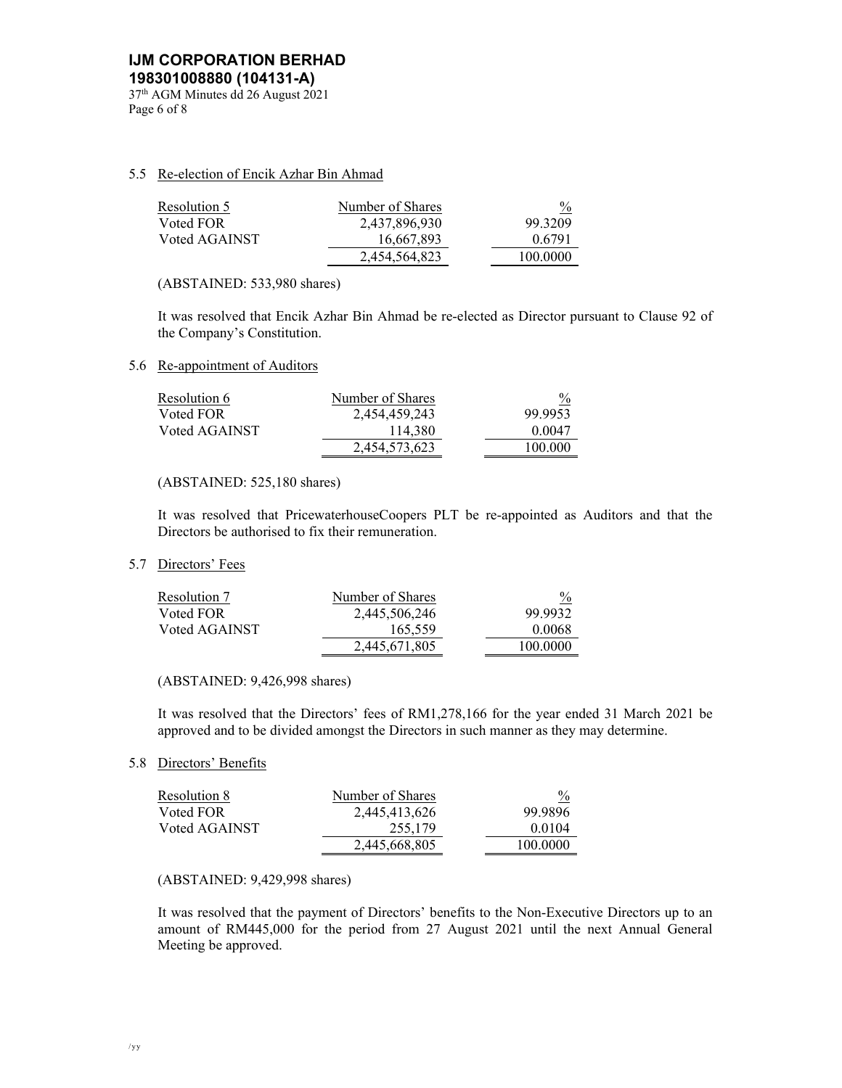### 5.5 Re-election of Encik Azhar Bin Ahmad

| Resolution 5  | Number of Shares | $\frac{0}{2}$ |
|---------------|------------------|---------------|
| Voted FOR     | 2,437,896,930    | 99.3209       |
| Voted AGAINST | 16,667,893       | 0.6791        |
|               | 2,454,564,823    | 100.0000      |

(ABSTAINED: 533,980 shares)

 It was resolved that Encik Azhar Bin Ahmad be re-elected as Director pursuant to Clause 92 of the Company's Constitution.

5.6 Re-appointment of Auditors

| Resolution 6  | Number of Shares | $\frac{0}{0}$ |
|---------------|------------------|---------------|
| Voted FOR     | 2,454,459,243    | 99.9953       |
| Voted AGAINST | 114,380          | 0.0047        |
|               | 2,454,573,623    | 100.000       |

### (ABSTAINED: 525,180 shares)

It was resolved that PricewaterhouseCoopers PLT be re-appointed as Auditors and that the Directors be authorised to fix their remuneration.

### 5.7 Directors' Fees

| Resolution 7  | Number of Shares | $\frac{0}{0}$ |
|---------------|------------------|---------------|
| Voted FOR     | 2,445,506,246    | 99.9932       |
| Voted AGAINST | 165,559          | 0.0068        |
|               | 2.445.671.805    | 100.0000      |

### (ABSTAINED: 9,426,998 shares)

It was resolved that the Directors' fees of RM1,278,166 for the year ended 31 March 2021 be approved and to be divided amongst the Directors in such manner as they may determine.

# 5.8 Directors' Benefits

| Resolution 8  | Number of Shares | $\frac{0}{0}$ |
|---------------|------------------|---------------|
| Voted FOR     | 2,445,413,626    | 99.9896       |
| Voted AGAINST | 255,179          | 0.0104        |
|               | 2,445,668,805    | 100.0000      |

### (ABSTAINED: 9,429,998 shares)

It was resolved that the payment of Directors' benefits to the Non-Executive Directors up to an amount of RM445,000 for the period from 27 August 2021 until the next Annual General Meeting be approved.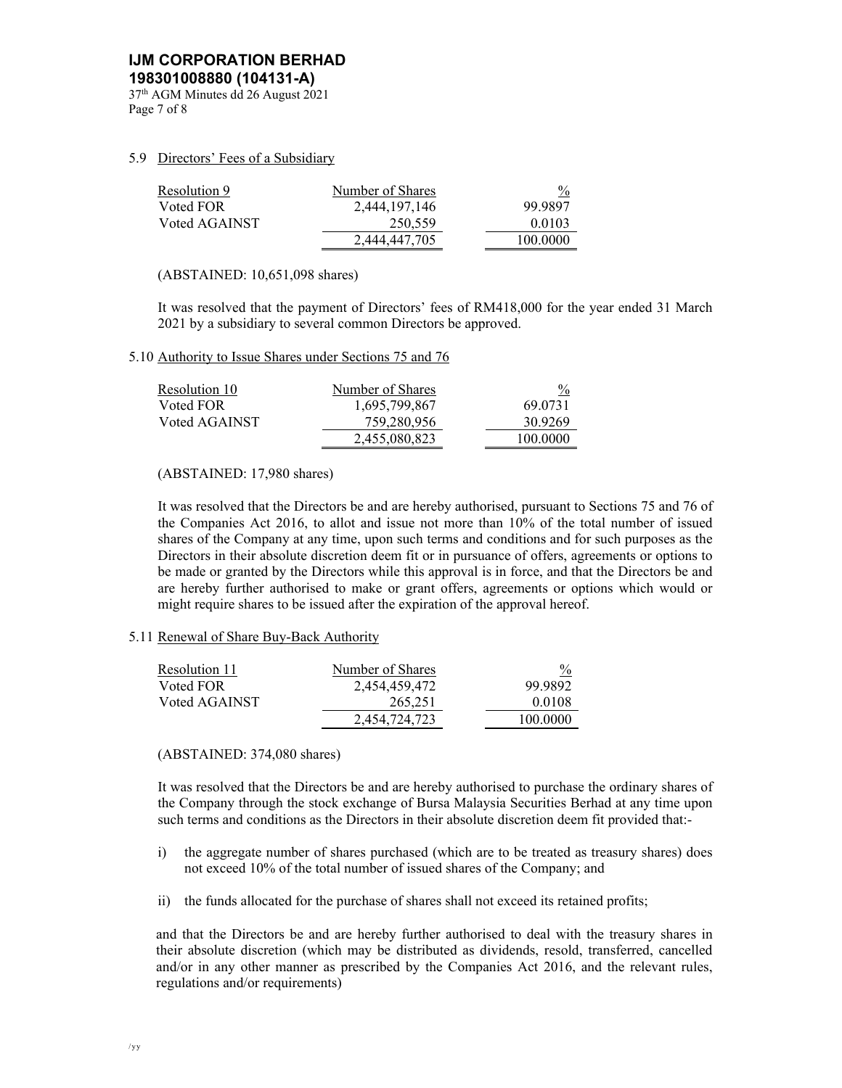37th AGM Minutes dd 26 August 2021 Page 7 of 8

# 5.9 Directors' Fees of a Subsidiary

| Resolution 9  | Number of Shares | $\frac{0}{0}$ |
|---------------|------------------|---------------|
| Voted FOR     | 2,444,197,146    | 99.9897       |
| Voted AGAINST | 250.559          | 0.0103        |
|               | 2.444.447.705    | 100.0000      |

(ABSTAINED: 10,651,098 shares)

It was resolved that the payment of Directors' fees of RM418,000 for the year ended 31 March 2021 by a subsidiary to several common Directors be approved.

### 5.10 Authority to Issue Shares under Sections 75 and 76

| Resolution 10 | Number of Shares | $\frac{0}{0}$ |
|---------------|------------------|---------------|
| Voted FOR     | 1,695,799,867    | 69.0731       |
| Voted AGAINST | 759,280,956      | 30.9269       |
|               | 2.455.080.823    | 100.0000      |

# (ABSTAINED: 17,980 shares)

It was resolved that the Directors be and are hereby authorised, pursuant to Sections 75 and 76 of the Companies Act 2016, to allot and issue not more than 10% of the total number of issued shares of the Company at any time, upon such terms and conditions and for such purposes as the Directors in their absolute discretion deem fit or in pursuance of offers, agreements or options to be made or granted by the Directors while this approval is in force, and that the Directors be and are hereby further authorised to make or grant offers, agreements or options which would or might require shares to be issued after the expiration of the approval hereof.

## 5.11 Renewal of Share Buy-Back Authority

| Resolution 11 | Number of Shares | $\frac{0}{0}$ |
|---------------|------------------|---------------|
| Voted FOR     | 2,454,459,472    | 99.9892       |
| Voted AGAINST | 265,251          | 0.0108        |
|               | 2.454.724.723    | 100.0000      |

## (ABSTAINED: 374,080 shares)

It was resolved that the Directors be and are hereby authorised to purchase the ordinary shares of the Company through the stock exchange of Bursa Malaysia Securities Berhad at any time upon such terms and conditions as the Directors in their absolute discretion deem fit provided that:-

- i) the aggregate number of shares purchased (which are to be treated as treasury shares) does not exceed 10% of the total number of issued shares of the Company; and
- ii) the funds allocated for the purchase of shares shall not exceed its retained profits;

and that the Directors be and are hereby further authorised to deal with the treasury shares in their absolute discretion (which may be distributed as dividends, resold, transferred, cancelled and/or in any other manner as prescribed by the Companies Act 2016, and the relevant rules, regulations and/or requirements)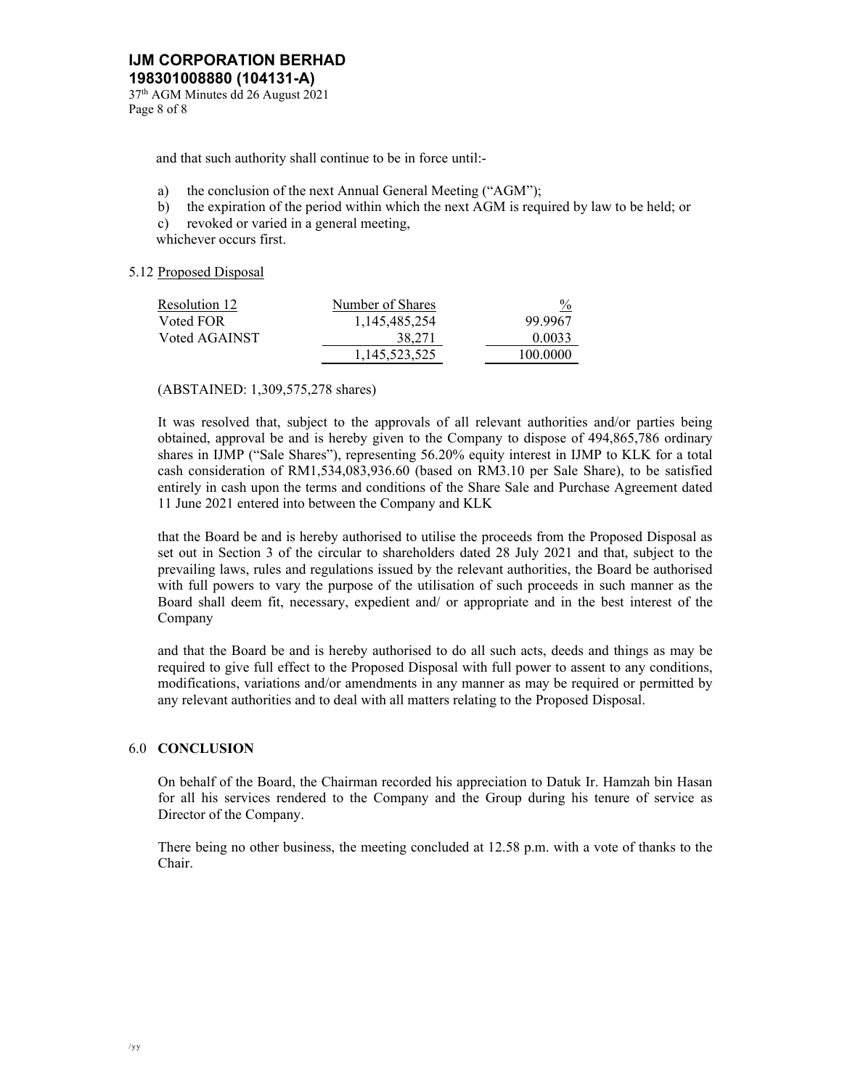37th AGM Minutes dd 26 August 2021 Page 8 of 8

and that such authority shall continue to be in force until:-

- a) the conclusion of the next Annual General Meeting ("AGM");
- b) the expiration of the period within which the next AGM is required by law to be held; or
- c) revoked or varied in a general meeting,

whichever occurs first.

# 5.12 Proposed Disposal

| Resolution 12 | Number of Shares | $\frac{0}{2}$ |
|---------------|------------------|---------------|
| Voted FOR     | 1.145.485.254    | 99.9967       |
| Voted AGAINST | 38.271           | 0.0033        |
|               | 1.145.523.525    | 100.0000      |

(ABSTAINED: 1,309,575,278 shares)

It was resolved that, subject to the approvals of all relevant authorities and/or parties being obtained, approval be and is hereby given to the Company to dispose of 494,865,786 ordinary shares in IJMP ("Sale Shares"), representing 56.20% equity interest in IJMP to KLK for a total cash consideration of RM1,534,083,936.60 (based on RM3.10 per Sale Share), to be satisfied entirely in cash upon the terms and conditions of the Share Sale and Purchase Agreement dated 11 June 2021 entered into between the Company and KLK

that the Board be and is hereby authorised to utilise the proceeds from the Proposed Disposal as set out in Section 3 of the circular to shareholders dated 28 July 2021 and that, subject to the prevailing laws, rules and regulations issued by the relevant authorities, the Board be authorised with full powers to vary the purpose of the utilisation of such proceeds in such manner as the Board shall deem fit, necessary, expedient and/ or appropriate and in the best interest of the Company

and that the Board be and is hereby authorised to do all such acts, deeds and things as may be required to give full effect to the Proposed Disposal with full power to assent to any conditions, modifications, variations and/or amendments in any manner as may be required or permitted by any relevant authorities and to deal with all matters relating to the Proposed Disposal.

# 6.0 **CONCLUSION**

On behalf of the Board, the Chairman recorded his appreciation to Datuk Ir. Hamzah bin Hasan for all his services rendered to the Company and the Group during his tenure of service as Director of the Company.

There being no other business, the meeting concluded at 12.58 p.m. with a vote of thanks to the Chair.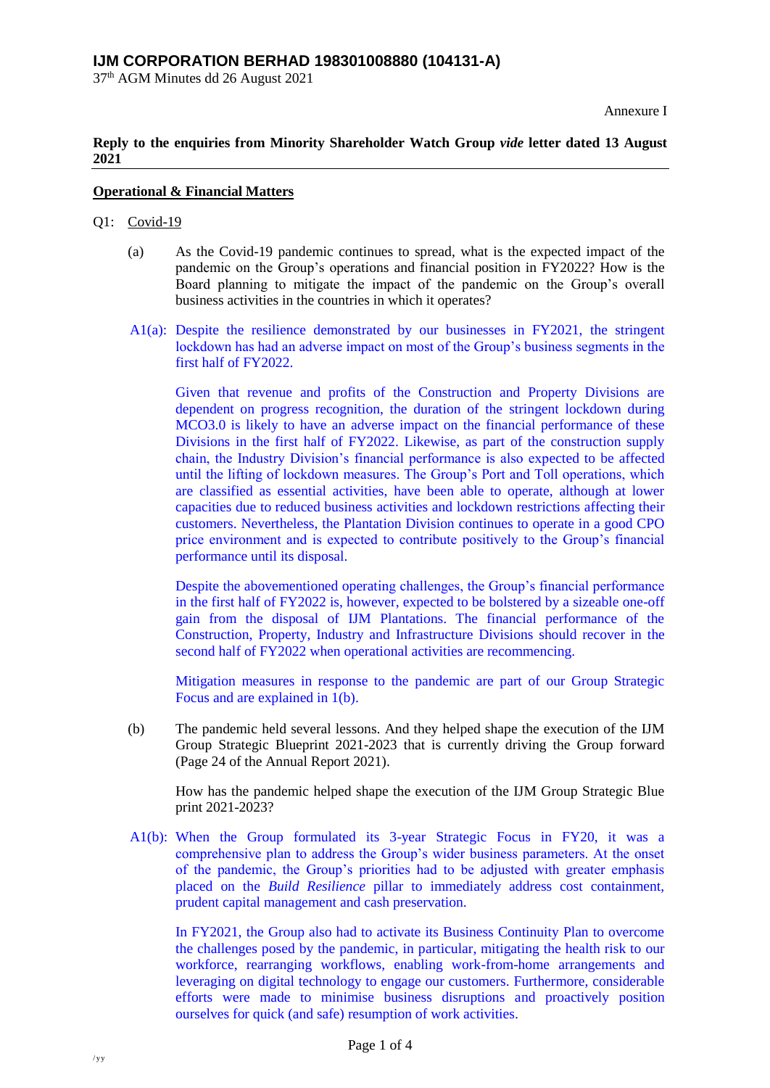37th AGM Minutes dd 26 August 2021

Annexure I

# **Reply to the enquiries from Minority Shareholder Watch Group** *vide* **letter dated 13 August 2021**

# **Operational & Financial Matters**

# Q1: Covid-19

- (a) As the Covid-19 pandemic continues to spread, what is the expected impact of the pandemic on the Group's operations and financial position in FY2022? How is the Board planning to mitigate the impact of the pandemic on the Group's overall business activities in the countries in which it operates?
- A1(a): Despite the resilience demonstrated by our businesses in FY2021, the stringent lockdown has had an adverse impact on most of the Group's business segments in the first half of FY2022.

Given that revenue and profits of the Construction and Property Divisions are dependent on progress recognition, the duration of the stringent lockdown during MCO3.0 is likely to have an adverse impact on the financial performance of these Divisions in the first half of FY2022. Likewise, as part of the construction supply chain, the Industry Division's financial performance is also expected to be affected until the lifting of lockdown measures. The Group's Port and Toll operations, which are classified as essential activities, have been able to operate, although at lower capacities due to reduced business activities and lockdown restrictions affecting their customers. Nevertheless, the Plantation Division continues to operate in a good CPO price environment and is expected to contribute positively to the Group's financial performance until its disposal.

Despite the abovementioned operating challenges, the Group's financial performance in the first half of FY2022 is, however, expected to be bolstered by a sizeable one-off gain from the disposal of IJM Plantations. The financial performance of the Construction, Property, Industry and Infrastructure Divisions should recover in the second half of FY2022 when operational activities are recommencing.

Mitigation measures in response to the pandemic are part of our Group Strategic Focus and are explained in 1(b).

(b) The pandemic held several lessons. And they helped shape the execution of the IJM Group Strategic Blueprint 2021-2023 that is currently driving the Group forward (Page 24 of the Annual Report 2021).

How has the pandemic helped shape the execution of the IJM Group Strategic Blue print 2021-2023?

A1(b): When the Group formulated its 3-year Strategic Focus in FY20, it was a comprehensive plan to address the Group's wider business parameters. At the onset of the pandemic, the Group's priorities had to be adjusted with greater emphasis placed on the *Build Resilience* pillar to immediately address cost containment, prudent capital management and cash preservation.

In FY2021, the Group also had to activate its Business Continuity Plan to overcome the challenges posed by the pandemic, in particular, mitigating the health risk to our workforce, rearranging workflows, enabling work-from-home arrangements and leveraging on digital technology to engage our customers. Furthermore, considerable efforts were made to minimise business disruptions and proactively position ourselves for quick (and safe) resumption of work activities.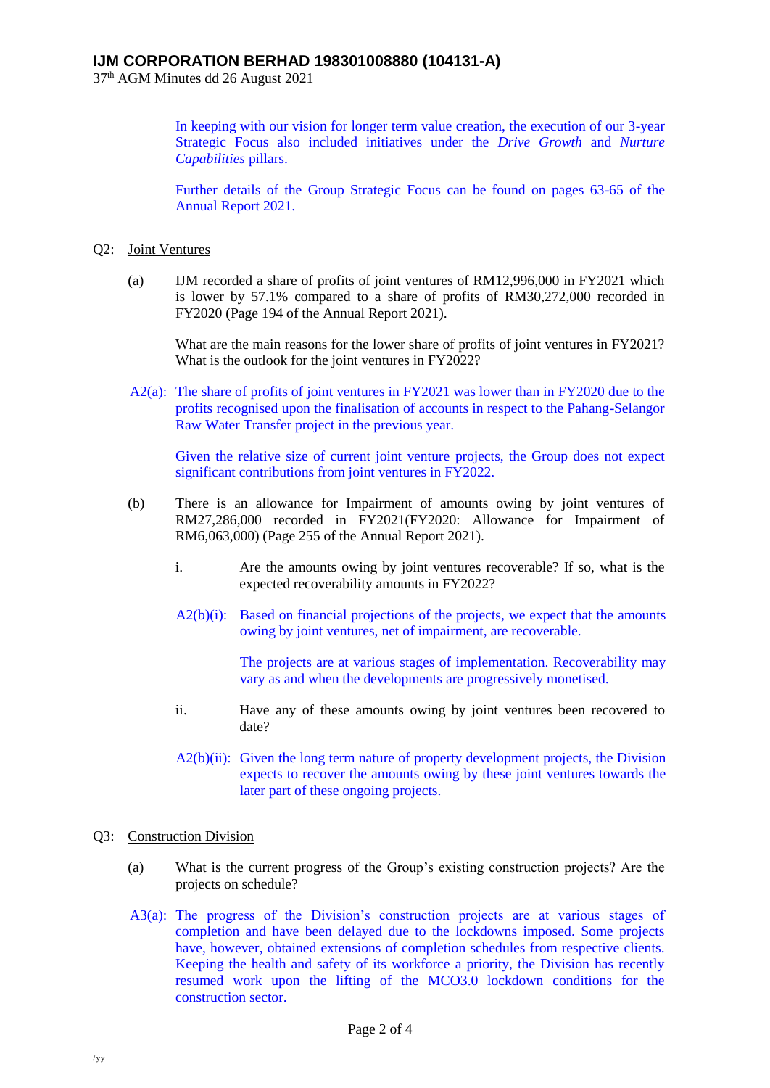37 th AGM Minutes dd 26 August 2021

In keeping with our vision for longer term value creation, the execution of our 3-year Strategic Focus also included initiatives under the *Drive Growth* and *Nurture Capabilities* pillars.

Further details of the Group Strategic Focus can be found on pages 63-65 of the Annual Report 2021.

# Q2: Joint Ventures

(a) IJM recorded a share of profits of joint ventures of RM12,996,000 in FY2021 which is lower by 57.1% compared to a share of profits of RM30,272,000 recorded in FY2020 (Page 194 of the Annual Report 2021).

What are the main reasons for the lower share of profits of joint ventures in FY2021? What is the outlook for the joint ventures in FY2022?

A2(a): The share of profits of joint ventures in FY2021 was lower than in FY2020 due to the profits recognised upon the finalisation of accounts in respect to the Pahang-Selangor Raw Water Transfer project in the previous year.

Given the relative size of current joint venture projects, the Group does not expect significant contributions from joint ventures in FY2022.

- (b) There is an allowance for Impairment of amounts owing by joint ventures of RM27,286,000 recorded in FY2021(FY2020: Allowance for Impairment of RM6,063,000) (Page 255 of the Annual Report 2021).
	- i. Are the amounts owing by joint ventures recoverable? If so, what is the expected recoverability amounts in FY2022?
	- A2(b)(i): Based on financial projections of the projects, we expect that the amounts owing by joint ventures, net of impairment, are recoverable.

The projects are at various stages of implementation. Recoverability may vary as and when the developments are progressively monetised.

- ii. Have any of these amounts owing by joint ventures been recovered to date?
- A2(b)(ii): Given the long term nature of property development projects, the Division expects to recover the amounts owing by these joint ventures towards the later part of these ongoing projects.

# Q3: Construction Division

- (a) What is the current progress of the Group's existing construction projects? Are the projects on schedule?
- A3(a): The progress of the Division's construction projects are at various stages of completion and have been delayed due to the lockdowns imposed. Some projects have, however, obtained extensions of completion schedules from respective clients. Keeping the health and safety of its workforce a priority, the Division has recently resumed work upon the lifting of the MCO3.0 lockdown conditions for the construction sector.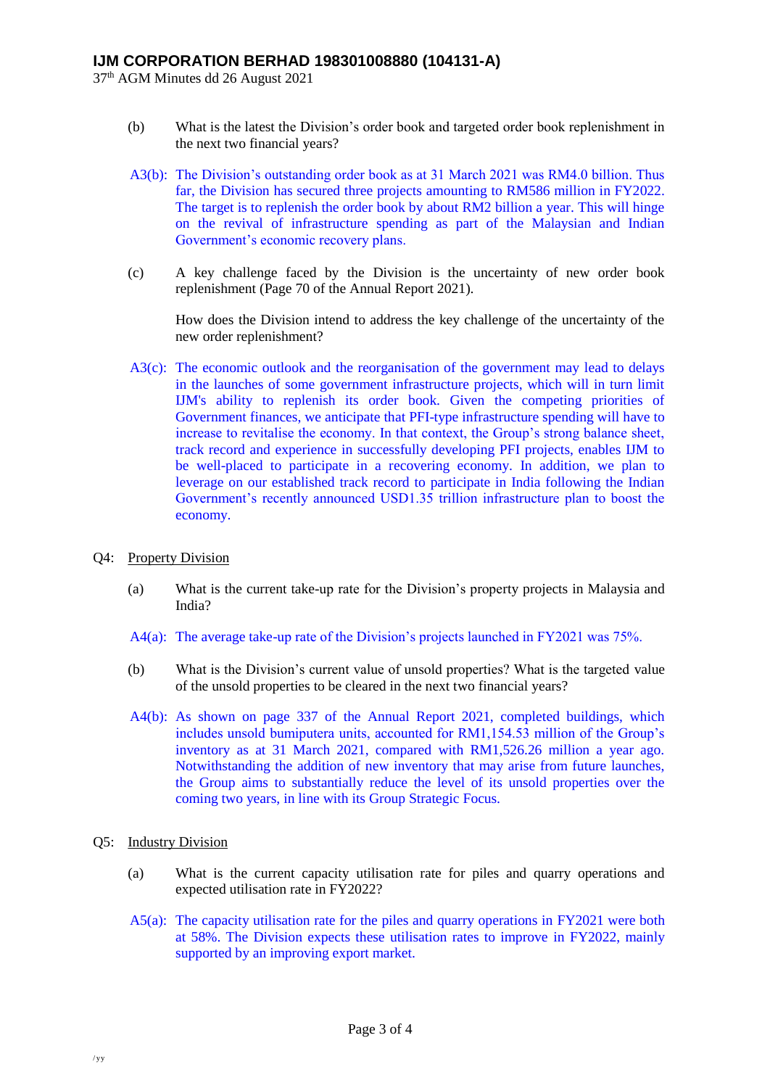37 th AGM Minutes dd 26 August 2021

- (b) What is the latest the Division's order book and targeted order book replenishment in the next two financial years?
- A3(b): The Division's outstanding order book as at 31 March 2021 was RM4.0 billion. Thus far, the Division has secured three projects amounting to RM586 million in FY2022. The target is to replenish the order book by about RM2 billion a year. This will hinge on the revival of infrastructure spending as part of the Malaysian and Indian Government's economic recovery plans.
- (c) A key challenge faced by the Division is the uncertainty of new order book replenishment (Page 70 of the Annual Report 2021).

How does the Division intend to address the key challenge of the uncertainty of the new order replenishment?

- A3(c): The economic outlook and the reorganisation of the government may lead to delays in the launches of some government infrastructure projects, which will in turn limit IJM's ability to replenish its order book. Given the competing priorities of Government finances, we anticipate that PFI-type infrastructure spending will have to increase to revitalise the economy. In that context, the Group's strong balance sheet, track record and experience in successfully developing PFI projects, enables IJM to be well-placed to participate in a recovering economy. In addition, we plan to leverage on our established track record to participate in India following the Indian Government's recently announced USD1.35 trillion infrastructure plan to boost the economy.
- Q4: Property Division
	- (a) What is the current take-up rate for the Division's property projects in Malaysia and India?
	- A4(a): The average take-up rate of the Division's projects launched in FY2021 was 75%.
	- (b) What is the Division's current value of unsold properties? What is the targeted value of the unsold properties to be cleared in the next two financial years?
	- A4(b): As shown on page 337 of the Annual Report 2021, completed buildings, which includes unsold bumiputera units, accounted for RM1,154.53 million of the Group's inventory as at 31 March 2021, compared with RM1,526.26 million a year ago. Notwithstanding the addition of new inventory that may arise from future launches, the Group aims to substantially reduce the level of its unsold properties over the coming two years, in line with its Group Strategic Focus.
- Q5: Industry Division
	- (a) What is the current capacity utilisation rate for piles and quarry operations and expected utilisation rate in FY2022?
	- A5(a): The capacity utilisation rate for the piles and quarry operations in FY2021 were both at 58%. The Division expects these utilisation rates to improve in FY2022, mainly supported by an improving export market.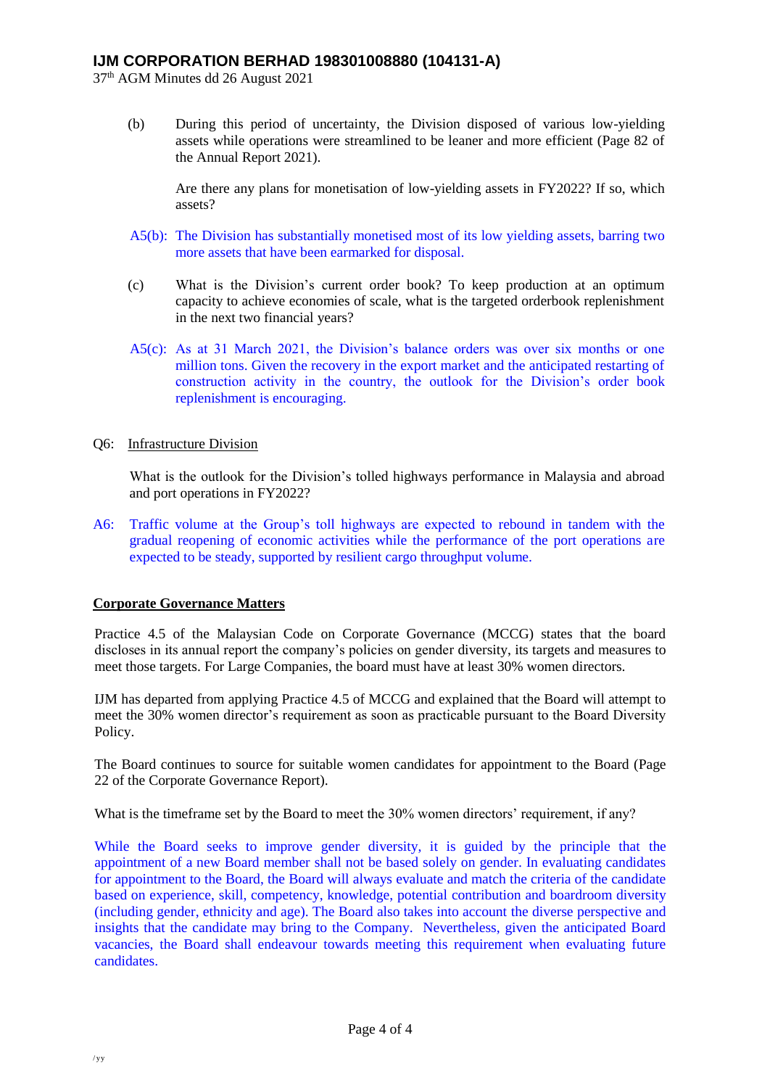37 th AGM Minutes dd 26 August 2021

(b) During this period of uncertainty, the Division disposed of various low-yielding assets while operations were streamlined to be leaner and more efficient (Page 82 of the Annual Report 2021).

Are there any plans for monetisation of low-yielding assets in FY2022? If so, which assets?

- A5(b): The Division has substantially monetised most of its low yielding assets, barring two more assets that have been earmarked for disposal.
- (c) What is the Division's current order book? To keep production at an optimum capacity to achieve economies of scale, what is the targeted orderbook replenishment in the next two financial years?
- A5(c): As at 31 March 2021, the Division's balance orders was over six months or one million tons. Given the recovery in the export market and the anticipated restarting of construction activity in the country, the outlook for the Division's order book replenishment is encouraging.
- Q6: Infrastructure Division

What is the outlook for the Division's tolled highways performance in Malaysia and abroad and port operations in FY2022?

A6: Traffic volume at the Group's toll highways are expected to rebound in tandem with the gradual reopening of economic activities while the performance of the port operations are expected to be steady, supported by resilient cargo throughput volume.

# **Corporate Governance Matters**

Practice 4.5 of the Malaysian Code on Corporate Governance (MCCG) states that the board discloses in its annual report the company's policies on gender diversity, its targets and measures to meet those targets. For Large Companies, the board must have at least 30% women directors.

IJM has departed from applying Practice 4.5 of MCCG and explained that the Board will attempt to meet the 30% women director's requirement as soon as practicable pursuant to the Board Diversity Policy.

The Board continues to source for suitable women candidates for appointment to the Board (Page 22 of the Corporate Governance Report).

What is the timeframe set by the Board to meet the 30% women directors' requirement, if any?

While the Board seeks to improve gender diversity, it is guided by the principle that the appointment of a new Board member shall not be based solely on gender. In evaluating candidates for appointment to the Board, the Board will always evaluate and match the criteria of the candidate based on experience, skill, competency, knowledge, potential contribution and boardroom diversity (including gender, ethnicity and age). The Board also takes into account the diverse perspective and insights that the candidate may bring to the Company. Nevertheless, given the anticipated Board vacancies, the Board shall endeavour towards meeting this requirement when evaluating future candidates.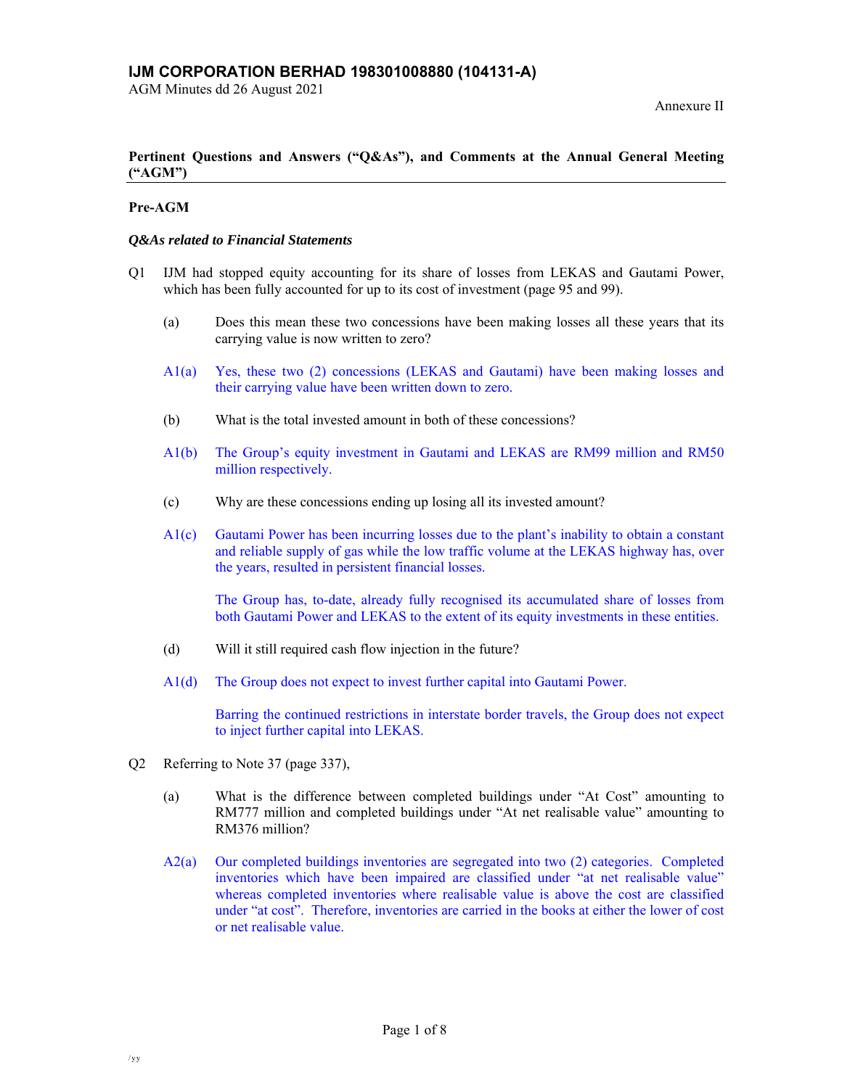AGM Minutes dd 26 August 2021

## **Pertinent Questions and Answers ("Q&As"), and Comments at the Annual General Meeting ("AGM")**

## **Pre-AGM**

### *Q&As related to Financial Statements*

- Q1 IJM had stopped equity accounting for its share of losses from LEKAS and Gautami Power, which has been fully accounted for up to its cost of investment (page 95 and 99).
	- (a) Does this mean these two concessions have been making losses all these years that its carrying value is now written to zero?
	- A1(a) Yes, these two (2) concessions (LEKAS and Gautami) have been making losses and their carrying value have been written down to zero.
	- (b) What is the total invested amount in both of these concessions?
	- A1(b) The Group's equity investment in Gautami and LEKAS are RM99 million and RM50 million respectively.
	- (c) Why are these concessions ending up losing all its invested amount?
	- A1(c) Gautami Power has been incurring losses due to the plant's inability to obtain a constant and reliable supply of gas while the low traffic volume at the LEKAS highway has, over the years, resulted in persistent financial losses.

The Group has, to-date, already fully recognised its accumulated share of losses from both Gautami Power and LEKAS to the extent of its equity investments in these entities.

- (d) Will it still required cash flow injection in the future?
- A1(d) The Group does not expect to invest further capital into Gautami Power.

Barring the continued restrictions in interstate border travels, the Group does not expect to inject further capital into LEKAS.

- Q2 Referring to Note 37 (page 337),
	- (a) What is the difference between completed buildings under "At Cost" amounting to RM777 million and completed buildings under "At net realisable value" amounting to RM376 million?
	- A2(a) Our completed buildings inventories are segregated into two (2) categories. Completed inventories which have been impaired are classified under "at net realisable value" whereas completed inventories where realisable value is above the cost are classified under "at cost". Therefore, inventories are carried in the books at either the lower of cost or net realisable value.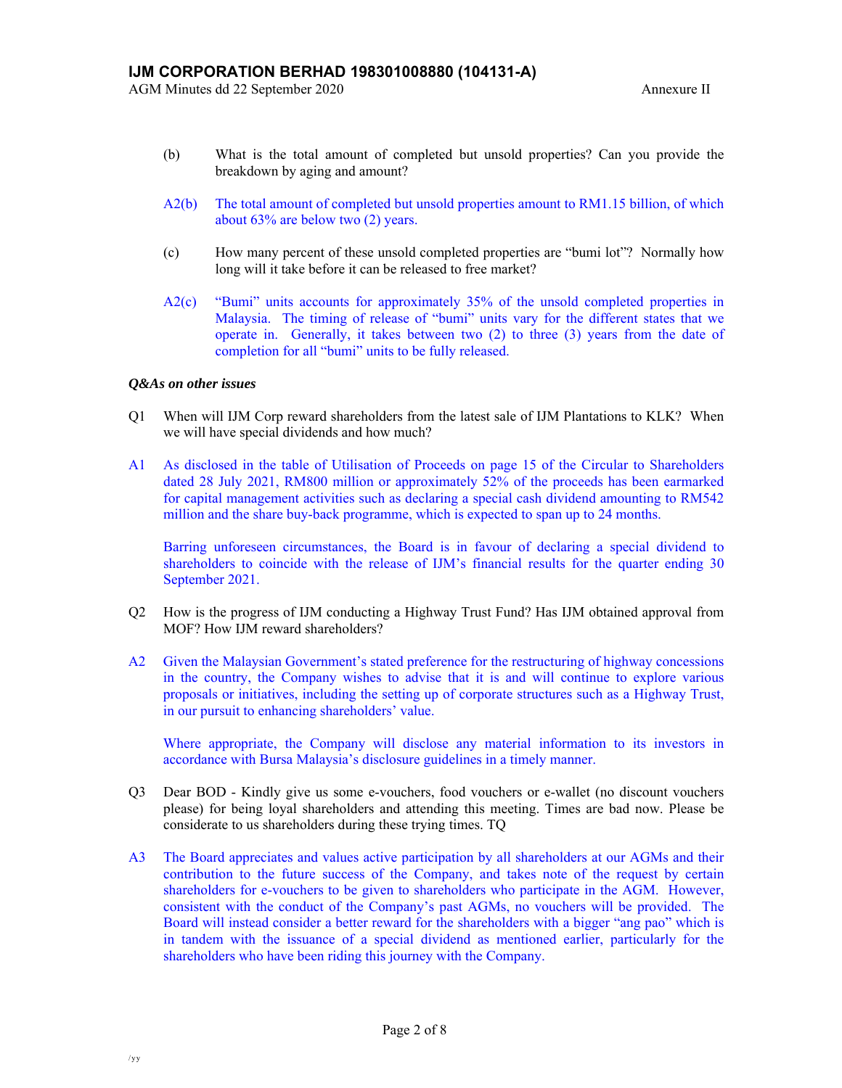- (b) What is the total amount of completed but unsold properties? Can you provide the breakdown by aging and amount?
- A2(b) The total amount of completed but unsold properties amount to RM1.15 billion, of which about 63% are below two (2) years.
- (c) How many percent of these unsold completed properties are "bumi lot"? Normally how long will it take before it can be released to free market?
- A2(c) "Bumi" units accounts for approximately 35% of the unsold completed properties in Malaysia. The timing of release of "bumi" units vary for the different states that we operate in. Generally, it takes between two (2) to three (3) years from the date of completion for all "bumi" units to be fully released.

### *Q&As on other issues*

- Q1 When will IJM Corp reward shareholders from the latest sale of IJM Plantations to KLK? When we will have special dividends and how much?
- A1 As disclosed in the table of Utilisation of Proceeds on page 15 of the Circular to Shareholders dated 28 July 2021, RM800 million or approximately 52% of the proceeds has been earmarked for capital management activities such as declaring a special cash dividend amounting to RM542 million and the share buy-back programme, which is expected to span up to 24 months.

 Barring unforeseen circumstances, the Board is in favour of declaring a special dividend to shareholders to coincide with the release of IJM's financial results for the quarter ending 30 September 2021.

- Q2 How is the progress of IJM conducting a Highway Trust Fund? Has IJM obtained approval from MOF? How IJM reward shareholders?
- A2 Given the Malaysian Government's stated preference for the restructuring of highway concessions in the country, the Company wishes to advise that it is and will continue to explore various proposals or initiatives, including the setting up of corporate structures such as a Highway Trust, in our pursuit to enhancing shareholders' value.

 Where appropriate, the Company will disclose any material information to its investors in accordance with Bursa Malaysia's disclosure guidelines in a timely manner.

- Q3 Dear BOD Kindly give us some e-vouchers, food vouchers or e-wallet (no discount vouchers please) for being loyal shareholders and attending this meeting. Times are bad now. Please be considerate to us shareholders during these trying times. TQ
- A3 The Board appreciates and values active participation by all shareholders at our AGMs and their contribution to the future success of the Company, and takes note of the request by certain shareholders for e-vouchers to be given to shareholders who participate in the AGM. However, consistent with the conduct of the Company's past AGMs, no vouchers will be provided. The Board will instead consider a better reward for the shareholders with a bigger "ang pao" which is in tandem with the issuance of a special dividend as mentioned earlier, particularly for the shareholders who have been riding this journey with the Company.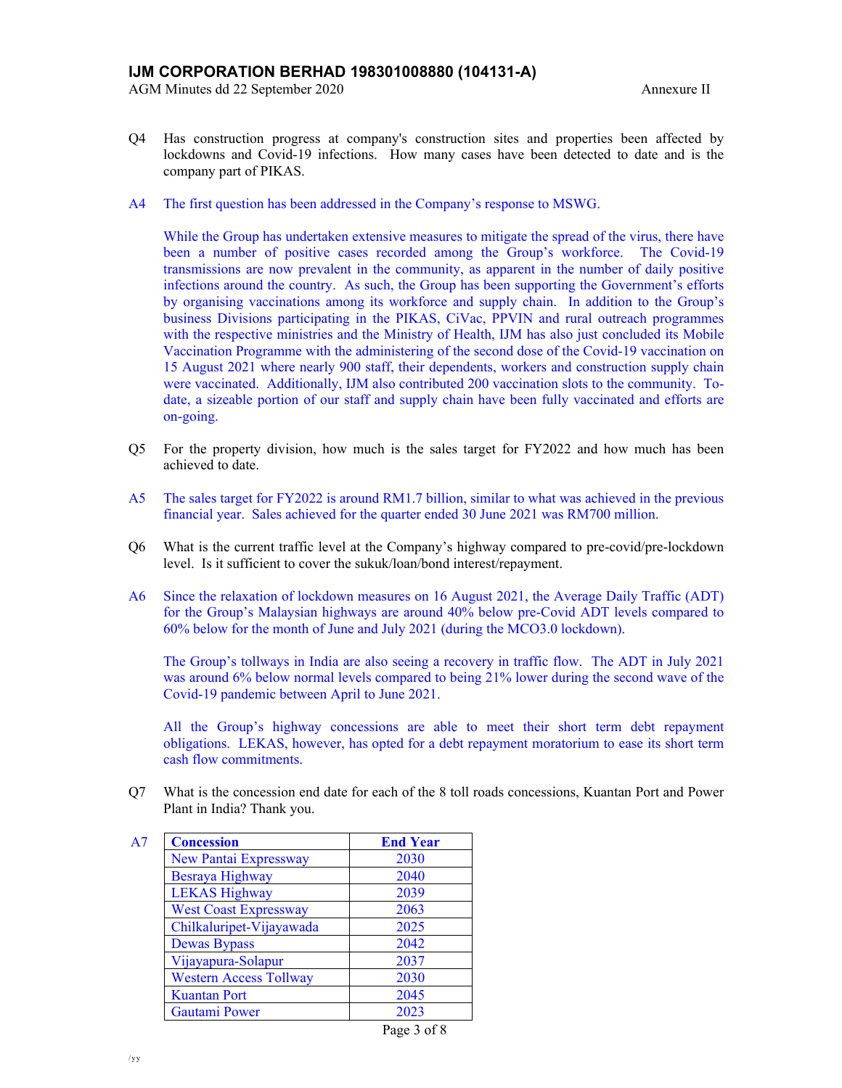- Q4 Has construction progress at company's construction sites and properties been affected by lockdowns and Covid-19 infections. How many cases have been detected to date and is the company part of PIKAS.
- A4 The first question has been addressed in the Company's response to MSWG.

 While the Group has undertaken extensive measures to mitigate the spread of the virus, there have been a number of positive cases recorded among the Group's workforce. The Covid-19 transmissions are now prevalent in the community, as apparent in the number of daily positive infections around the country. As such, the Group has been supporting the Government's efforts by organising vaccinations among its workforce and supply chain. In addition to the Group's business Divisions participating in the PIKAS, CiVac, PPVIN and rural outreach programmes with the respective ministries and the Ministry of Health, IJM has also just concluded its Mobile Vaccination Programme with the administering of the second dose of the Covid-19 vaccination on 15 August 2021 where nearly 900 staff, their dependents, workers and construction supply chain were vaccinated. Additionally, IJM also contributed 200 vaccination slots to the community. Todate, a sizeable portion of our staff and supply chain have been fully vaccinated and efforts are on-going.

- Q5 For the property division, how much is the sales target for FY2022 and how much has been achieved to date.
- A5 The sales target for FY2022 is around RM1.7 billion, similar to what was achieved in the previous financial year. Sales achieved for the quarter ended 30 June 2021 was RM700 million.
- Q6 What is the current traffic level at the Company's highway compared to pre-covid/pre-lockdown level. Is it sufficient to cover the sukuk/loan/bond interest/repayment.
- A6 Since the relaxation of lockdown measures on 16 August 2021, the Average Daily Traffic (ADT) for the Group's Malaysian highways are around 40% below pre-Covid ADT levels compared to 60% below for the month of June and July 2021 (during the MCO3.0 lockdown).

The Group's tollways in India are also seeing a recovery in traffic flow. The ADT in July 2021 was around 6% below normal levels compared to being 21% lower during the second wave of the Covid-19 pandemic between April to June 2021.

All the Group's highway concessions are able to meet their short term debt repayment obligations. LEKAS, however, has opted for a debt repayment moratorium to ease its short term cash flow commitments.

Q7 What is the concession end date for each of the 8 toll roads concessions, Kuantan Port and Power Plant in India? Thank you.

| A7 | <b>Concession</b>             | <b>End Year</b> |
|----|-------------------------------|-----------------|
|    | New Pantai Expressway         | 2030            |
|    | Besraya Highway               | 2040            |
|    | <b>LEKAS Highway</b>          | 2039            |
|    | <b>West Coast Expressway</b>  | 2063            |
|    | Chilkaluripet-Vijayawada      | 2025            |
|    | <b>Dewas Bypass</b>           | 2042            |
|    | Vijayapura-Solapur            | 2037            |
|    | <b>Western Access Tollway</b> | 2030            |
|    | <b>Kuantan Port</b>           | 2045            |
|    | <b>Gautami Power</b>          | 2023            |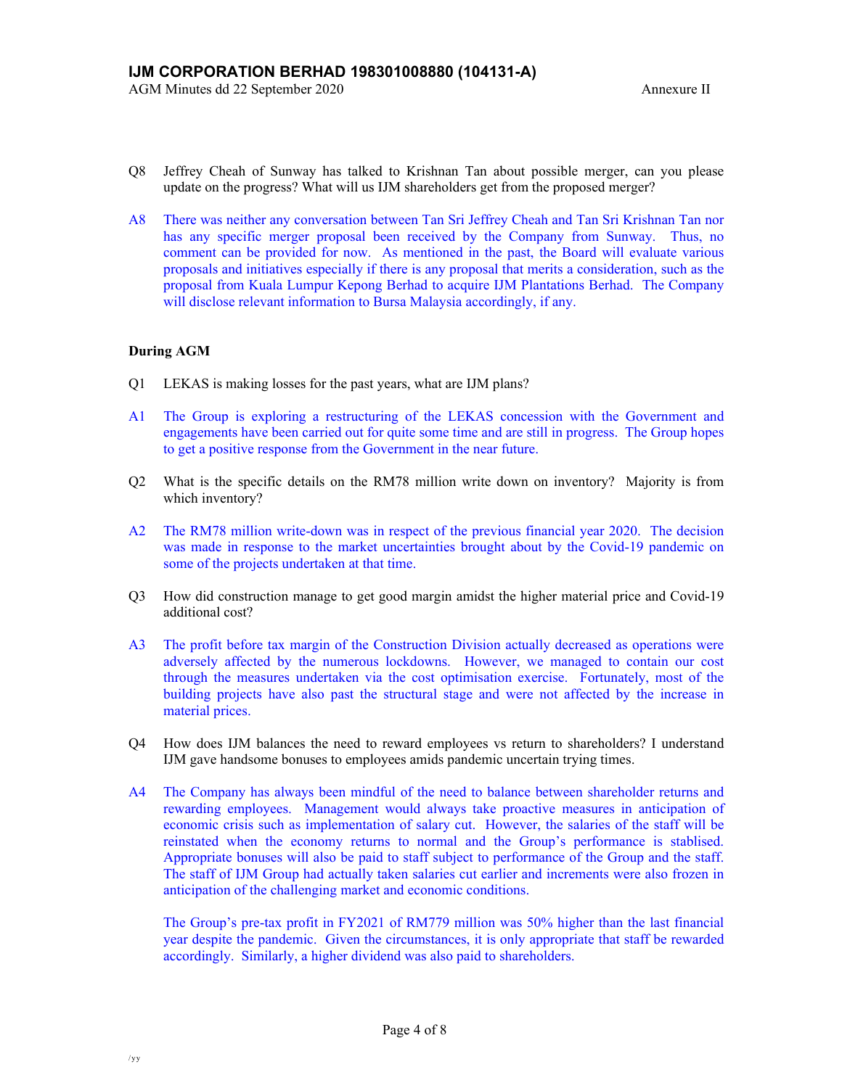- Q8 Jeffrey Cheah of Sunway has talked to Krishnan Tan about possible merger, can you please update on the progress? What will us IJM shareholders get from the proposed merger?
- A8 There was neither any conversation between Tan Sri Jeffrey Cheah and Tan Sri Krishnan Tan nor has any specific merger proposal been received by the Company from Sunway. Thus, no comment can be provided for now. As mentioned in the past, the Board will evaluate various proposals and initiatives especially if there is any proposal that merits a consideration, such as the proposal from Kuala Lumpur Kepong Berhad to acquire IJM Plantations Berhad. The Company will disclose relevant information to Bursa Malaysia accordingly, if any.

## **During AGM**

- Q1 LEKAS is making losses for the past years, what are IJM plans?
- A1 The Group is exploring a restructuring of the LEKAS concession with the Government and engagements have been carried out for quite some time and are still in progress. The Group hopes to get a positive response from the Government in the near future.
- Q2 What is the specific details on the RM78 million write down on inventory? Majority is from which inventory?
- A2 The RM78 million write-down was in respect of the previous financial year 2020. The decision was made in response to the market uncertainties brought about by the Covid-19 pandemic on some of the projects undertaken at that time.
- Q3 How did construction manage to get good margin amidst the higher material price and Covid-19 additional cost?
- A3 The profit before tax margin of the Construction Division actually decreased as operations were adversely affected by the numerous lockdowns. However, we managed to contain our cost through the measures undertaken via the cost optimisation exercise. Fortunately, most of the building projects have also past the structural stage and were not affected by the increase in material prices.
- Q4 How does IJM balances the need to reward employees vs return to shareholders? I understand IJM gave handsome bonuses to employees amids pandemic uncertain trying times.
- A4 The Company has always been mindful of the need to balance between shareholder returns and rewarding employees. Management would always take proactive measures in anticipation of economic crisis such as implementation of salary cut. However, the salaries of the staff will be reinstated when the economy returns to normal and the Group's performance is stablised. Appropriate bonuses will also be paid to staff subject to performance of the Group and the staff. The staff of IJM Group had actually taken salaries cut earlier and increments were also frozen in anticipation of the challenging market and economic conditions.

The Group's pre-tax profit in FY2021 of RM779 million was 50% higher than the last financial year despite the pandemic. Given the circumstances, it is only appropriate that staff be rewarded accordingly. Similarly, a higher dividend was also paid to shareholders.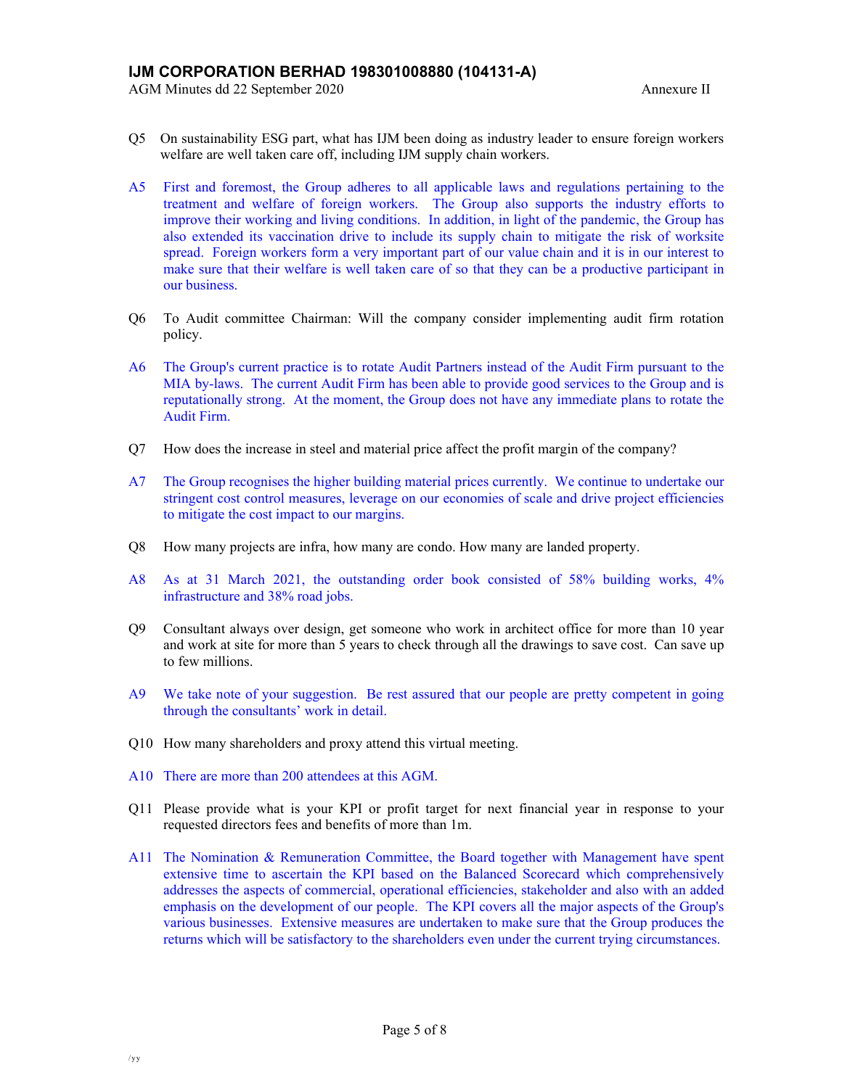- Q5 On sustainability ESG part, what has IJM been doing as industry leader to ensure foreign workers welfare are well taken care off, including IJM supply chain workers.
- A5 First and foremost, the Group adheres to all applicable laws and regulations pertaining to the treatment and welfare of foreign workers. The Group also supports the industry efforts to improve their working and living conditions. In addition, in light of the pandemic, the Group has also extended its vaccination drive to include its supply chain to mitigate the risk of worksite spread. Foreign workers form a very important part of our value chain and it is in our interest to make sure that their welfare is well taken care of so that they can be a productive participant in our business.
- Q6 To Audit committee Chairman: Will the company consider implementing audit firm rotation policy.
- A6 The Group's current practice is to rotate Audit Partners instead of the Audit Firm pursuant to the MIA by-laws. The current Audit Firm has been able to provide good services to the Group and is reputationally strong. At the moment, the Group does not have any immediate plans to rotate the Audit Firm.
- Q7 How does the increase in steel and material price affect the profit margin of the company?
- A7 The Group recognises the higher building material prices currently. We continue to undertake our stringent cost control measures, leverage on our economies of scale and drive project efficiencies to mitigate the cost impact to our margins.
- Q8 How many projects are infra, how many are condo. How many are landed property.
- A8 As at 31 March 2021, the outstanding order book consisted of 58% building works, 4% infrastructure and 38% road jobs.
- Q9 Consultant always over design, get someone who work in architect office for more than 10 year and work at site for more than 5 years to check through all the drawings to save cost. Can save up to few millions.
- A9 We take note of your suggestion. Be rest assured that our people are pretty competent in going through the consultants' work in detail.
- Q10 How many shareholders and proxy attend this virtual meeting.
- A10 There are more than 200 attendees at this AGM.
- Q11 Please provide what is your KPI or profit target for next financial year in response to your requested directors fees and benefits of more than 1m.
- A11 The Nomination & Remuneration Committee, the Board together with Management have spent extensive time to ascertain the KPI based on the Balanced Scorecard which comprehensively addresses the aspects of commercial, operational efficiencies, stakeholder and also with an added emphasis on the development of our people. The KPI covers all the major aspects of the Group's various businesses. Extensive measures are undertaken to make sure that the Group produces the returns which will be satisfactory to the shareholders even under the current trying circumstances.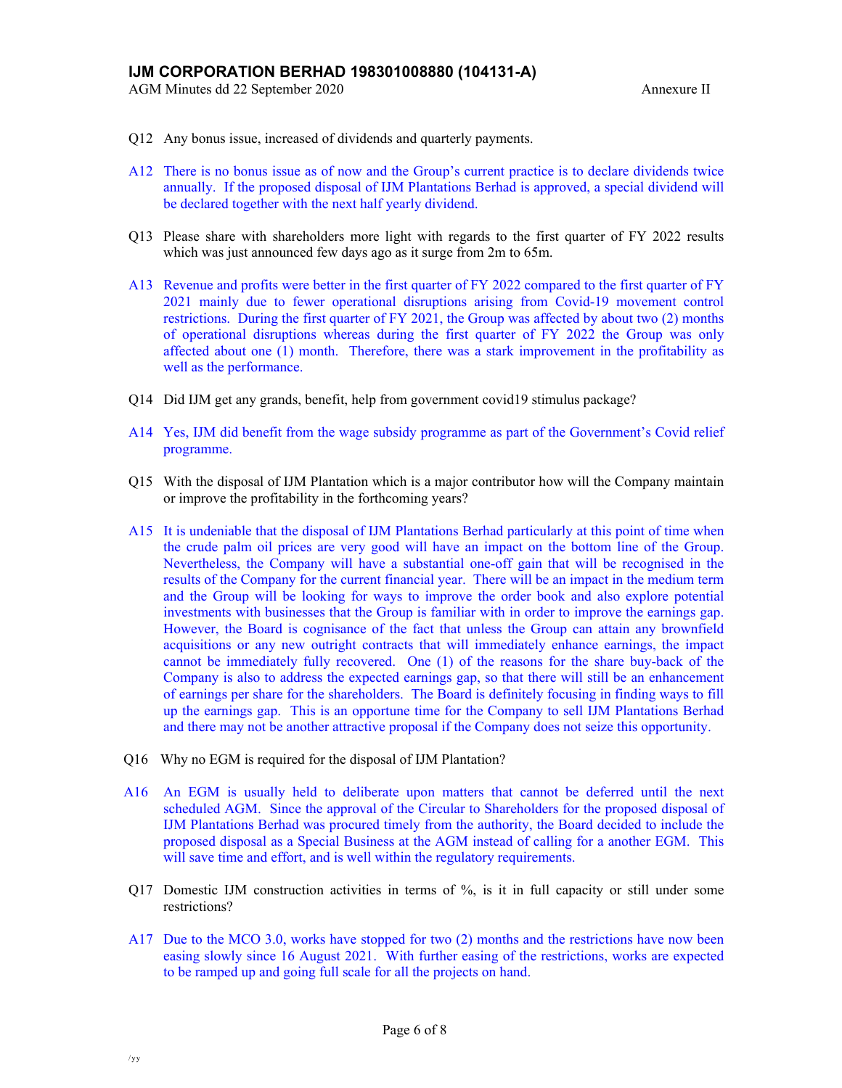AGM Minutes dd 22 September 2020 Annexure II

- Q12 Any bonus issue, increased of dividends and quarterly payments.
- A12 There is no bonus issue as of now and the Group's current practice is to declare dividends twice annually. If the proposed disposal of IJM Plantations Berhad is approved, a special dividend will be declared together with the next half yearly dividend.
- Q13 Please share with shareholders more light with regards to the first quarter of FY 2022 results which was just announced few days ago as it surge from  $2m$  to 65m.
- A13 Revenue and profits were better in the first quarter of FY 2022 compared to the first quarter of FY 2021 mainly due to fewer operational disruptions arising from Covid-19 movement control restrictions. During the first quarter of FY 2021, the Group was affected by about two (2) months of operational disruptions whereas during the first quarter of FY 2022 the Group was only affected about one (1) month. Therefore, there was a stark improvement in the profitability as well as the performance.
- Q14 Did IJM get any grands, benefit, help from government covid19 stimulus package?
- A14 Yes, IJM did benefit from the wage subsidy programme as part of the Government's Covid relief programme.
- Q15 With the disposal of IJM Plantation which is a major contributor how will the Company maintain or improve the profitability in the forthcoming years?
- A15 It is undeniable that the disposal of IJM Plantations Berhad particularly at this point of time when the crude palm oil prices are very good will have an impact on the bottom line of the Group. Nevertheless, the Company will have a substantial one-off gain that will be recognised in the results of the Company for the current financial year. There will be an impact in the medium term and the Group will be looking for ways to improve the order book and also explore potential investments with businesses that the Group is familiar with in order to improve the earnings gap. However, the Board is cognisance of the fact that unless the Group can attain any brownfield acquisitions or any new outright contracts that will immediately enhance earnings, the impact cannot be immediately fully recovered. One (1) of the reasons for the share buy-back of the Company is also to address the expected earnings gap, so that there will still be an enhancement of earnings per share for the shareholders. The Board is definitely focusing in finding ways to fill up the earnings gap. This is an opportune time for the Company to sell IJM Plantations Berhad and there may not be another attractive proposal if the Company does not seize this opportunity.
- Q16 Why no EGM is required for the disposal of IJM Plantation?
- A16 An EGM is usually held to deliberate upon matters that cannot be deferred until the next scheduled AGM. Since the approval of the Circular to Shareholders for the proposed disposal of IJM Plantations Berhad was procured timely from the authority, the Board decided to include the proposed disposal as a Special Business at the AGM instead of calling for a another EGM. This will save time and effort, and is well within the regulatory requirements.
- Q17 Domestic IJM construction activities in terms of %, is it in full capacity or still under some restrictions?
- A17 Due to the MCO 3.0, works have stopped for two (2) months and the restrictions have now been easing slowly since 16 August 2021. With further easing of the restrictions, works are expected to be ramped up and going full scale for all the projects on hand.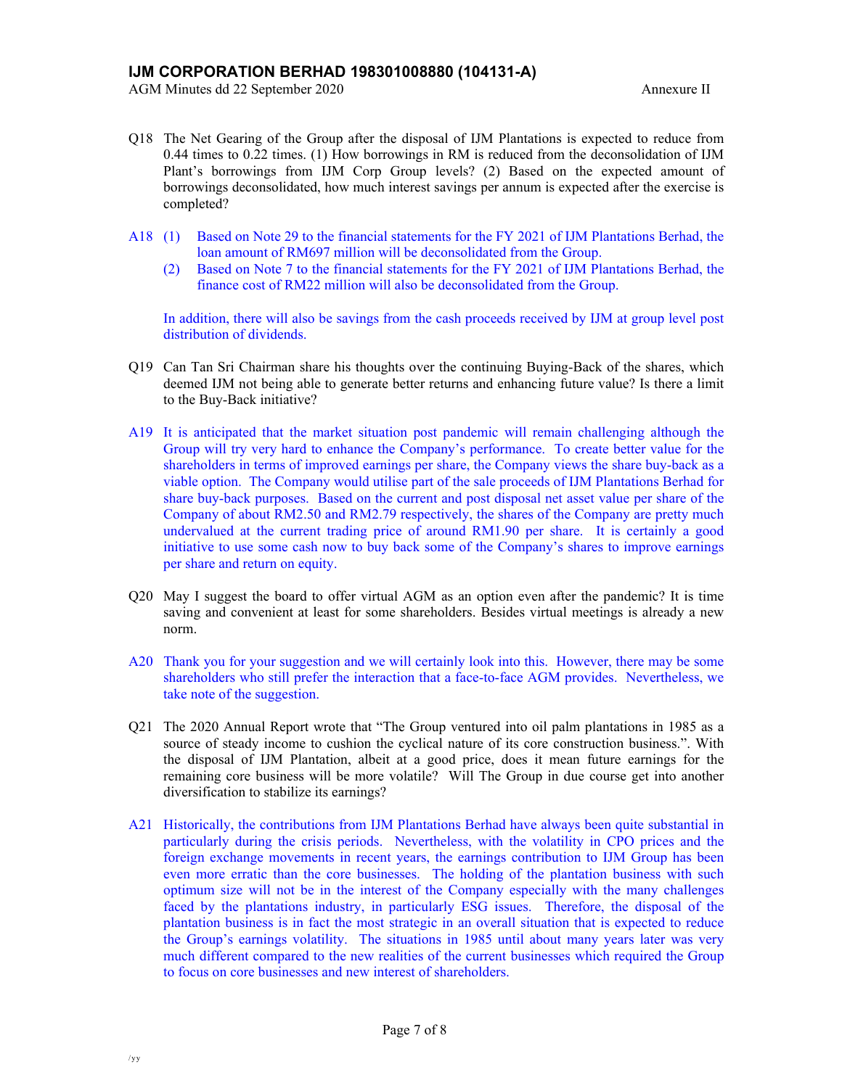- Q18 The Net Gearing of the Group after the disposal of IJM Plantations is expected to reduce from 0.44 times to 0.22 times. (1) How borrowings in RM is reduced from the deconsolidation of IJM Plant's borrowings from IJM Corp Group levels? (2) Based on the expected amount of borrowings deconsolidated, how much interest savings per annum is expected after the exercise is completed?
- A18 (1) Based on Note 29 to the financial statements for the FY 2021 of IJM Plantations Berhad, the loan amount of RM697 million will be deconsolidated from the Group.
	- (2) Based on Note 7 to the financial statements for the FY 2021 of IJM Plantations Berhad, the finance cost of RM22 million will also be deconsolidated from the Group.

In addition, there will also be savings from the cash proceeds received by IJM at group level post distribution of dividends.

- Q19 Can Tan Sri Chairman share his thoughts over the continuing Buying-Back of the shares, which deemed IJM not being able to generate better returns and enhancing future value? Is there a limit to the Buy-Back initiative?
- A19 It is anticipated that the market situation post pandemic will remain challenging although the Group will try very hard to enhance the Company's performance. To create better value for the shareholders in terms of improved earnings per share, the Company views the share buy-back as a viable option. The Company would utilise part of the sale proceeds of IJM Plantations Berhad for share buy-back purposes. Based on the current and post disposal net asset value per share of the Company of about RM2.50 and RM2.79 respectively, the shares of the Company are pretty much undervalued at the current trading price of around RM1.90 per share. It is certainly a good initiative to use some cash now to buy back some of the Company's shares to improve earnings per share and return on equity.
- Q20 May I suggest the board to offer virtual AGM as an option even after the pandemic? It is time saving and convenient at least for some shareholders. Besides virtual meetings is already a new norm.
- A20 Thank you for your suggestion and we will certainly look into this. However, there may be some shareholders who still prefer the interaction that a face-to-face AGM provides. Nevertheless, we take note of the suggestion.
- Q21 The 2020 Annual Report wrote that "The Group ventured into oil palm plantations in 1985 as a source of steady income to cushion the cyclical nature of its core construction business.". With the disposal of IJM Plantation, albeit at a good price, does it mean future earnings for the remaining core business will be more volatile? Will The Group in due course get into another diversification to stabilize its earnings?
- A21 Historically, the contributions from IJM Plantations Berhad have always been quite substantial in particularly during the crisis periods. Nevertheless, with the volatility in CPO prices and the foreign exchange movements in recent years, the earnings contribution to IJM Group has been even more erratic than the core businesses. The holding of the plantation business with such optimum size will not be in the interest of the Company especially with the many challenges faced by the plantations industry, in particularly ESG issues. Therefore, the disposal of the plantation business is in fact the most strategic in an overall situation that is expected to reduce the Group's earnings volatility. The situations in 1985 until about many years later was very much different compared to the new realities of the current businesses which required the Group to focus on core businesses and new interest of shareholders.